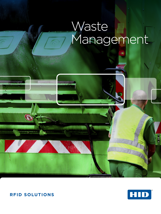# Waste Management



R

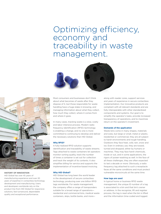## Optimizing efficiency, economy and traceability in waste management.





#### **HISTORY OF INNOVATION**

HID Global has over 45 years of manufacturing experience and over 20 years of expertise in contactless technology development and manufacturing. Users and developers worldwide rely on the product line from HID Global for responsive solutions, fast turnaround, dependable quality and exceptional performance.

Most consumers and businesses don't think about what becomes of waste after they dispose of it, but those responsible for waste handling have a huge stake in knowing, and managing information about what they collect, how much they collect, where it comes from and where it goes.

In many cases, tracking waste is a slow, costly and labor intensive process. Modern radio frequency identification (RFID) technology is enabling a change, and no one is more committed to continuing to develop and deliver the necessary solutions than HID Global.

#### **Why RFID?**

A fully-realized RFID solution supports identification and traceability of waste streams. Tags attached to waste containers let operators monitor sorting quality, track the number of times a container is set out for collection and track the weight of its contents. It also simplifies billing for service and supports the implementation of incentive-based invoicing.

#### **Why HID Global?**

HID Global has long been the world leader in the development of secure contactless technology, producing over one billion RFID tags worldwide. For waste management, the company offers a range of transponders suitable for a broad range of operations residential and commercial bins, medical waste containers, skips, bottle banks, and morealong with reader cores, support services and years of experience in secure contactless implementation. Our innovative products are compliant with all relevant standards and are fully interoperable with other standardized components and systems. Our goal is to simplify the operator's tasks, provide increased transparency of operations, and to maximize return on the operator's investment.

#### **Demands of the application**

Waste bins come in many shapes, materials and sizes, but large or small, metal or plastic, residential or commercial, they are all subject to harsh environments and rough handling. Outdoors they face heat, cold, rain, snow and ice. Even in ordinary use, they are tossed, turned and dropped, either by humans or machines. They may face harsh chemicals, inside or out, and in some applications, the rigors of power-washing as well. In the face of all these challenges, they are often expected to last a decade or more. Obviously, a radio frequency tag attached to such a receptacle faces all the same conditions and must protect vulnerable microcircuits at the same time.

#### **How tags are used**

In typical home or business RFID waste management, the unique ID number of a tag is associated to a bin and that bin's owner or address. In the recognize, lift and register process, the tag is read when the bin is lifted and the information time-coded and logged.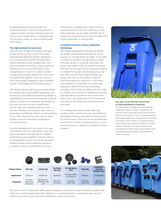In applications like medical waste, the receptacle itself is collected, transported to a disposal point and returned to its place of origin. In such applications, a read/write tag may actually collect, as well as disseminate, information.

#### **The right product for every job**

The selection of tags and readers can have a huge impact on the success of a waste management initiative. System integrators, bin manufacturers and lift manufacturers expect reliability. Every installed tag must work and keep on working. Unique customer identification is critical and there can be no duplication of user ID numbers. System components must be reliable and come with warranties and support users can count on. Users and system integrators need a reliable source of affordable off-the-shelf products.

HID Global has the right tag and reader board for virtually any waste-related application, all backed by our expertise, engineering design-in capabilities, warranties and renowned customer service. Products are designed specifically for the task, providing unique identification of bins. Tags are manufactured for out-ofthe-box reliability and long life. With years of experience and literally millions of transponders in use, HID's product line has come to mean quality in secure contactless applications around the world.

In waste management, our screw-in bin tag is among the world's most widely used. The chip is bonded to the antenna for reliable performance and durability. Then the device is encapsulated in resin to provide maximum tensile strength and unmatched resistance to weather, shock, and humidity. The tag is

designed for installation as a step in the bin manufacturing process. For older bins in the field, plug tags can be easily installed. This is particularly important for service providers with large investments in existing bins.

#### **A trusted source for secure contactless technology**

HID Global designed the bin tag specifically for waste management applications, but of course, no one tag meets all needs, so we offer an extensive portfolio of tag types to satisfy the wide variety of customer demands. Our epoxy tags come in 20 mm sizes for curbside bins and 30 mm sizes for bin producers looking to embed the tag during manufacturing. HID also offers the On Metal Tag and Plug Tag along with tools for installation. Versions meet low frequency (125 KHz or 134.2 KHz), high frequency (13.56 MHz), and ultra-high frequency (869-915 MHz) ISO standards including: FDX-b BDE, EN 14803 and ISO 11785. No matter what the mix of residential, business, and specialized customers; the variety of bin types, sizes, and materials; or the frequencies you require, HID Global has the components you need.

To complete the solution, HID offers topquality reader boards that meet all established standards and have consistently raised the bar for performance. They can be incorporated into hand-held or vehicle-mounted devices, as well as connected to a variety of controller and host systems.



#### **WE ARE YOUR PROVEN SOLUTION - AS REQUIREMENTS INCREASE.**

The demands of waste management will continue to grow. "Green" initiatives will require closer tracking of recycling streams. "Pay-as-you-throw" may be implemented to encourage reduction of waste and increased recycling. And changes in waste handling technology may require the ability to track certain materials, not just at pickup, but through the entire process. No matter what your application requires, HID Global will meet the need.



We work in close cooperation with system integrators around the world to develop systems that meet your most stringent demands. Whether you need standard or customized tags, we can deliver the products you need with exceptional quality and service.